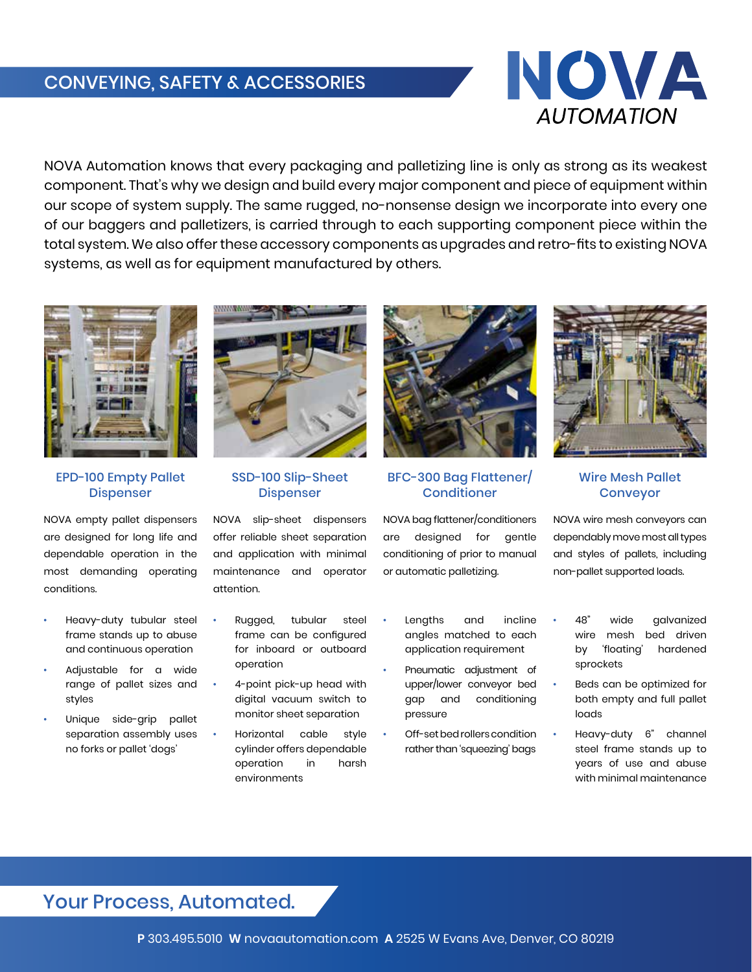# CONVEYING, SAFETY & ACCESSORIES



NOVA Automation knows that every packaging and palletizing line is only as strong as its weakest component. That's why we design and build every major component and piece of equipment within our scope of system supply. The same rugged, no-nonsense design we incorporate into every one of our baggers and palletizers, is carried through to each supporting component piece within the total system. We also offer these accessory components as upgrades and retro-fits to existing NOVA systems, as well as for equipment manufactured by others.



EPD-100 Empty Pallet Dispenser

NOVA empty pallet dispensers are designed for long life and dependable operation in the most demanding operating conditions.

- Heavy-duty tubular steel frame stands up to abuse and continuous operation
- Adjustable for a wide range of pallet sizes and styles
- Unique side-grip pallet separation assembly uses no forks or pallet 'dogs'



SSD-100 Slip-Sheet Dispenser

NOVA slip-sheet dispensers offer reliable sheet separation and application with minimal maintenance and operator attention.

- Rugged, tubular steel frame can be configured for inboard or outboard operation
- 4-point pick-up head with digital vacuum switch to monitor sheet separation
- Horizontal cable style cylinder offers dependable operation in harsh environments



BFC-300 Bag Flattener/ **Conditioner** 

NOVA bag flattener/conditioners are designed for gentle conditioning of prior to manual or automatic palletizing.

- Lengths and incline angles matched to each application requirement
- Pneumatic adjustment of upper/lower conveyor bed gap and conditioning pressure
- Off-set bed rollers condition rather than 'squeezing' bags



Wire Mesh Pallet Conveyor

NOVA wire mesh conveyors can dependably move most all types and styles of pallets, including non-pallet supported loads.

- 48" wide galvanized wire mesh bed driven by 'floating' hardened sprockets
- Beds can be optimized for both empty and full pallet loads
- Heavy-duty 6" channel steel frame stands up to years of use and abuse with minimal maintenance

### Your Process, Automated.